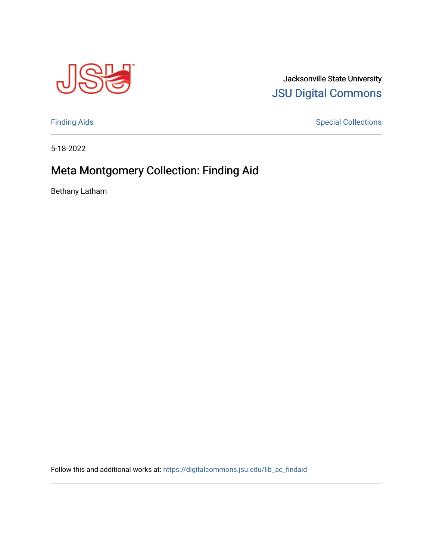

Jacksonville State University [JSU Digital Commons](https://digitalcommons.jsu.edu/) 

[Finding Aids](https://digitalcommons.jsu.edu/lib_ac_findaid) **Special Collections** 

5-18-2022

# Meta Montgomery Collection: Finding Aid

Bethany Latham

Follow this and additional works at: [https://digitalcommons.jsu.edu/lib\\_ac\\_findaid](https://digitalcommons.jsu.edu/lib_ac_findaid?utm_source=digitalcommons.jsu.edu%2Flib_ac_findaid%2F26&utm_medium=PDF&utm_campaign=PDFCoverPages)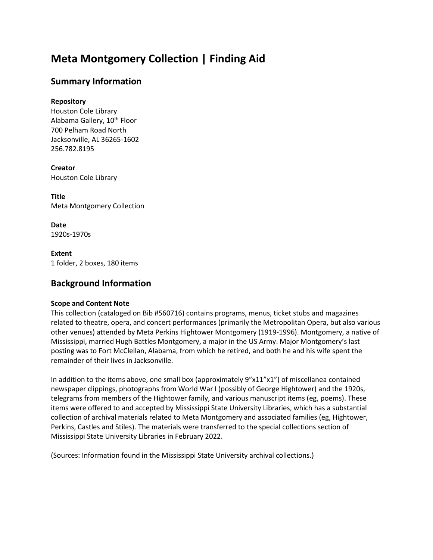# **Meta Montgomery Collection | Finding Aid**

## **Summary Information**

### **Repository**

Houston Cole Library Alabama Gallery, 10<sup>th</sup> Floor 700 Pelham Road North Jacksonville, AL 36265-1602 256.782.8195

**Creator** Houston Cole Library

**Title** Meta Montgomery Collection

**Date** 1920s-1970s

**Extent** 1 folder, 2 boxes, 180 items

# **Background Information**

#### **Scope and Content Note**

This collection (cataloged on Bib #560716) contains programs, menus, ticket stubs and magazines related to theatre, opera, and concert performances (primarily the Metropolitan Opera, but also various other venues) attended by Meta Perkins Hightower Montgomery (1919-1996). Montgomery, a native of Mississippi, married Hugh Battles Montgomery, a major in the US Army. Major Montgomery's last posting was to Fort McClellan, Alabama, from which he retired, and both he and his wife spent the remainder of their lives in Jacksonville.

In addition to the items above, one small box (approximately 9"x11"x1") of miscellanea contained newspaper clippings, photographs from World War I (possibly of George Hightower) and the 1920s, telegrams from members of the Hightower family, and various manuscript items (eg, poems). These items were offered to and accepted by Mississippi State University Libraries, which has a substantial collection of archival materials related to Meta Montgomery and associated families (eg, Hightower, Perkins, Castles and Stiles). The materials were transferred to the special collections section of Mississippi State University Libraries in February 2022.

(Sources: Information found in the Mississippi State University archival collections.)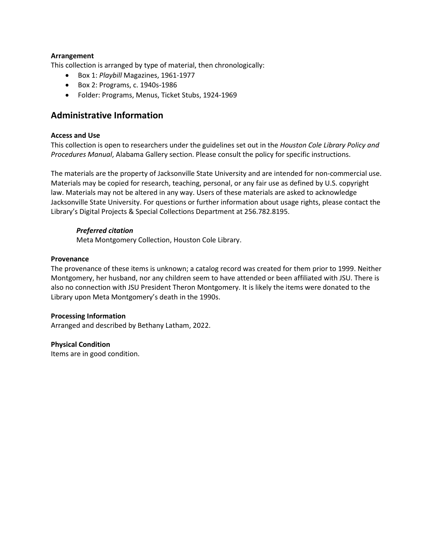#### **Arrangement**

This collection is arranged by type of material, then chronologically:

- Box 1: *Playbill* Magazines, 1961-1977
- Box 2: Programs, c. 1940s-1986
- Folder: Programs, Menus, Ticket Stubs, 1924-1969

## **Administrative Information**

#### **Access and Use**

This collection is open to researchers under the guidelines set out in the *Houston Cole Library Policy and Procedures Manual*, Alabama Gallery section. Please consult the policy for specific instructions.

The materials are the property of Jacksonville State University and are intended for non-commercial use. Materials may be copied for research, teaching, personal, or any fair use as defined by U.S. copyright law. Materials may not be altered in any way. Users of these materials are asked to acknowledge Jacksonville State University. For questions or further information about usage rights, please contact the Library's Digital Projects & Special Collections Department at 256.782.8195.

#### *Preferred citation*

Meta Montgomery Collection, Houston Cole Library.

#### **Provenance**

The provenance of these items is unknown; a catalog record was created for them prior to 1999. Neither Montgomery, her husband, nor any children seem to have attended or been affiliated with JSU. There is also no connection with JSU President Theron Montgomery. It is likely the items were donated to the Library upon Meta Montgomery's death in the 1990s.

#### **Processing Information**

Arranged and described by Bethany Latham, 2022.

#### **Physical Condition**

Items are in good condition.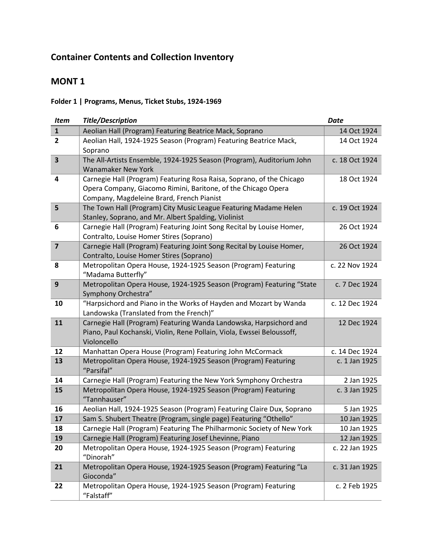# **Container Contents and Collection Inventory**

# **MONT 1**

## **Folder 1 | Programs, Menus, Ticket Stubs, 1924-1969**

| <b>Item</b>             | <b>Title/Description</b>                                                                                                                                                            | <b>Date</b>    |
|-------------------------|-------------------------------------------------------------------------------------------------------------------------------------------------------------------------------------|----------------|
| $\mathbf{1}$            | Aeolian Hall (Program) Featuring Beatrice Mack, Soprano                                                                                                                             | 14 Oct 1924    |
| $\overline{2}$          | Aeolian Hall, 1924-1925 Season (Program) Featuring Beatrice Mack,<br>Soprano                                                                                                        | 14 Oct 1924    |
| $\overline{\mathbf{3}}$ | The All-Artists Ensemble, 1924-1925 Season (Program), Auditorium John<br><b>Wanamaker New York</b>                                                                                  | c. 18 Oct 1924 |
| $\overline{\mathbf{4}}$ | Carnegie Hall (Program) Featuring Rosa Raisa, Soprano, of the Chicago<br>Opera Company, Giacomo Rimini, Baritone, of the Chicago Opera<br>Company, Magdeleine Brard, French Pianist | 18 Oct 1924    |
| 5                       | The Town Hall (Program) City Music League Featuring Madame Helen<br>Stanley, Soprano, and Mr. Albert Spalding, Violinist                                                            | c. 19 Oct 1924 |
| 6                       | Carnegie Hall (Program) Featuring Joint Song Recital by Louise Homer,<br>Contralto, Louise Homer Stires (Soprano)                                                                   | 26 Oct 1924    |
| $\overline{\mathbf{z}}$ | Carnegie Hall (Program) Featuring Joint Song Recital by Louise Homer,<br>Contralto, Louise Homer Stires (Soprano)                                                                   | 26 Oct 1924    |
| 8                       | Metropolitan Opera House, 1924-1925 Season (Program) Featuring<br>"Madama Butterfly"                                                                                                | c. 22 Nov 1924 |
| $\mathbf{9}$            | Metropolitan Opera House, 1924-1925 Season (Program) Featuring "State<br>Symphony Orchestra"                                                                                        | c. 7 Dec 1924  |
| 10                      | "Harpsichord and Piano in the Works of Hayden and Mozart by Wanda<br>Landowska (Translated from the French)"                                                                        | c. 12 Dec 1924 |
| 11                      | Carnegie Hall (Program) Featuring Wanda Landowska, Harpsichord and<br>Piano, Paul Kochanski, Violin, Rene Pollain, Viola, Ewssei Beloussoff,<br>Violoncello                         | 12 Dec 1924    |
| 12                      | Manhattan Opera House (Program) Featuring John McCormack                                                                                                                            | c. 14 Dec 1924 |
| 13                      | Metropolitan Opera House, 1924-1925 Season (Program) Featuring<br>"Parsifal"                                                                                                        | c. 1 Jan 1925  |
| 14                      | Carnegie Hall (Program) Featuring the New York Symphony Orchestra                                                                                                                   | 2 Jan 1925     |
| 15                      | Metropolitan Opera House, 1924-1925 Season (Program) Featuring<br>"Tannhauser"                                                                                                      | c. 3 Jan 1925  |
| 16                      | Aeolian Hall, 1924-1925 Season (Program) Featuring Claire Dux, Soprano                                                                                                              | 5 Jan 1925     |
| 17                      | Sam S. Shubert Theatre (Program, single page) Featuring "Othello"                                                                                                                   | 10 Jan 1925    |
| 18                      | Carnegie Hall (Program) Featuring The Philharmonic Society of New York                                                                                                              | 10 Jan 1925    |
| 19                      | Carnegie Hall (Program) Featuring Josef Lhevinne, Piano                                                                                                                             | 12 Jan 1925    |
| 20                      | Metropolitan Opera House, 1924-1925 Season (Program) Featuring<br>"Dinorah"                                                                                                         | c. 22 Jan 1925 |
| 21                      | Metropolitan Opera House, 1924-1925 Season (Program) Featuring "La<br>Gioconda"                                                                                                     | c. 31 Jan 1925 |
| 22                      | Metropolitan Opera House, 1924-1925 Season (Program) Featuring<br>"Falstaff"                                                                                                        | c. 2 Feb 1925  |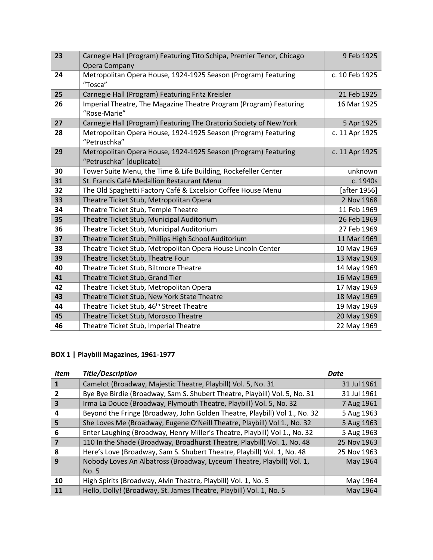| 23 | Carnegie Hall (Program) Featuring Tito Schipa, Premier Tenor, Chicago<br>Opera Company     | 9 Feb 1925     |
|----|--------------------------------------------------------------------------------------------|----------------|
| 24 | Metropolitan Opera House, 1924-1925 Season (Program) Featuring<br>"Tosca"                  | c. 10 Feb 1925 |
| 25 | Carnegie Hall (Program) Featuring Fritz Kreisler                                           | 21 Feb 1925    |
| 26 | Imperial Theatre, The Magazine Theatre Program (Program) Featuring<br>"Rose-Marie"         | 16 Mar 1925    |
| 27 | Carnegie Hall (Program) Featuring The Oratorio Society of New York                         | 5 Apr 1925     |
| 28 | Metropolitan Opera House, 1924-1925 Season (Program) Featuring<br>"Petruschka"             | c. 11 Apr 1925 |
| 29 | Metropolitan Opera House, 1924-1925 Season (Program) Featuring<br>"Petruschka" [duplicate] | c. 11 Apr 1925 |
| 30 | Tower Suite Menu, the Time & Life Building, Rockefeller Center                             | unknown        |
| 31 | St. Francis Café Medallion Restaurant Menu                                                 | c. 1940s       |
| 32 | The Old Spaghetti Factory Café & Excelsior Coffee House Menu                               | [after 1956]   |
| 33 | Theatre Ticket Stub, Metropolitan Opera                                                    | 2 Nov 1968     |
| 34 | Theatre Ticket Stub, Temple Theatre                                                        | 11 Feb 1969    |
| 35 | Theatre Ticket Stub, Municipal Auditorium                                                  | 26 Feb 1969    |
| 36 | Theatre Ticket Stub, Municipal Auditorium                                                  | 27 Feb 1969    |
| 37 | Theatre Ticket Stub, Phillips High School Auditorium                                       | 11 Mar 1969    |
| 38 | Theatre Ticket Stub, Metropolitan Opera House Lincoln Center                               | 10 May 1969    |
| 39 | Theatre Ticket Stub, Theatre Four                                                          | 13 May 1969    |
| 40 | Theatre Ticket Stub, Biltmore Theatre                                                      | 14 May 1969    |
| 41 | Theatre Ticket Stub, Grand Tier                                                            | 16 May 1969    |
| 42 | Theatre Ticket Stub, Metropolitan Opera                                                    | 17 May 1969    |
| 43 | Theatre Ticket Stub, New York State Theatre                                                | 18 May 1969    |
| 44 | Theatre Ticket Stub, 46 <sup>th</sup> Street Theatre                                       | 19 May 1969    |
| 45 | Theatre Ticket Stub, Morosco Theatre                                                       | 20 May 1969    |
| 46 | Theatre Ticket Stub, Imperial Theatre                                                      | 22 May 1969    |

## **BOX 1 | Playbill Magazines, 1961-1977**

| <b>Item</b> | <b>Title/Description</b>                                                   | <b>Date</b> |
|-------------|----------------------------------------------------------------------------|-------------|
| 1           | Camelot (Broadway, Majestic Theatre, Playbill) Vol. 5, No. 31              | 31 Jul 1961 |
| 2           | Bye Bye Birdie (Broadway, Sam S. Shubert Theatre, Playbill) Vol. 5, No. 31 | 31 Jul 1961 |
| 3           | Irma La Douce (Broadway, Plymouth Theatre, Playbill) Vol. 5, No. 32        | 7 Aug 1961  |
| 4           | Beyond the Fringe (Broadway, John Golden Theatre, Playbill) Vol 1., No. 32 | 5 Aug 1963  |
| 5           | She Loves Me (Broadway, Eugene O'Neill Theatre, Playbill) Vol 1., No. 32   | 5 Aug 1963  |
| 6           | Enter Laughing (Broadway, Henry Miller's Theatre, Playbill) Vol 1., No. 32 | 5 Aug 1963  |
| 7           | 110 In the Shade (Broadway, Broadhurst Theatre, Playbill) Vol. 1, No. 48   | 25 Nov 1963 |
| 8           | Here's Love (Broadway, Sam S. Shubert Theatre, Playbill) Vol. 1, No. 48    | 25 Nov 1963 |
| 9           | Nobody Loves An Albatross (Broadway, Lyceum Theatre, Playbill) Vol. 1,     | May 1964    |
|             | No. 5                                                                      |             |
| 10          | High Spirits (Broadway, Alvin Theatre, Playbill) Vol. 1, No. 5             | May 1964    |
| 11          | Hello, Dolly! (Broadway, St. James Theatre, Playbill) Vol. 1, No. 5        | May 1964    |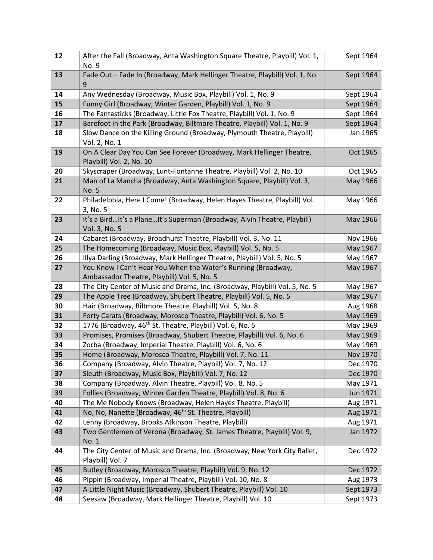| 12       | After the Fall (Broadway, Anta Washington Square Theatre, Playbill) Vol. 1,<br>No. 9                                | Sept 1964            |
|----------|---------------------------------------------------------------------------------------------------------------------|----------------------|
| 13       | Fade Out - Fade In (Broadway, Mark Hellinger Theatre, Playbill) Vol. 1, No.<br>9                                    | Sept 1964            |
| 14       | Any Wednesday (Broadway, Music Box, Playbill) Vol. 1, No. 9                                                         | Sept 1964            |
| 15       | Funny Girl (Broadway, Winter Garden, Playbill) Vol. 1, No. 9                                                        | Sept 1964            |
| 16       | The Fantasticks (Broadway, Little Fox Theatre, Playbill) Vol. 1, No. 9                                              | Sept 1964            |
| 17       | Barefoot in the Park (Broadway, Biltmore Theatre, Playbill) Vol. 1, No. 9                                           | Sept 1964            |
| 18       | Slow Dance on the Killing Ground (Broadway, Plymouth Theatre, Playbill)<br>Vol. 2, No. 1                            | Jan 1965             |
| 19       | On A Clear Day You Can See Forever (Broadway, Mark Hellinger Theatre,<br>Playbill) Vol. 2, No. 10                   | Oct 1965             |
| 20       | Skyscraper (Broadway, Lunt-Fontanne Theatre, Playbill) Vol. 2, No. 10                                               | Oct 1965             |
| 21       | Man of La Mancha (Broadway, Anta Washington Square, Playbill) Vol. 3,<br>No. 5                                      | May 1966             |
| 22       | Philadelphia, Here I Come! (Broadway, Helen Hayes Theatre, Playbill) Vol.<br>3, No. 5                               | May 1966             |
| 23       | It's a BirdIt's a PlaneIt's Superman (Broadway, Alvin Theatre, Playbill)<br>Vol. 3, No. 5                           | May 1966             |
| 24       | Cabaret (Broadway, Broadhurst Theatre, Playbill) Vol. 3, No. 11                                                     | Nov 1966             |
| 25       | The Homecoming (Broadway, Music Box, Playbill) Vol. 5, No. 5                                                        | May 1967             |
| 26       | Illya Darling (Broadway, Mark Hellinger Theatre, Playbill) Vol. 5, No. 5                                            | May 1967             |
| 27       | You Know I Can't Hear You When the Water's Running (Broadway,<br>Ambassador Theatre, Playbill) Vol. 5, No. 5        | May 1967             |
| 28       | The City Center of Music and Drama, Inc. (Broadway, Playbill) Vol. 5, No. 5                                         | May 1967             |
| 29       | The Apple Tree (Broadway, Shubert Theatre, Playbill) Vol. 5, No. 5                                                  | May 1967             |
| 30       | Hair (Broadway, Biltmore Theatre, Playbill) Vol. 5, No. 8                                                           | Aug 1968             |
| 31       | Forty Carats (Broadway, Morosco Theatre, Playbill) Vol. 6, No. 5                                                    | May 1969             |
| 32       | 1776 (Broadway, 46 <sup>th</sup> St. Theatre, Playbill) Vol. 6, No. 5                                               | May 1969             |
| 33       | Promises, Promises (Broadway, Shubert Theatre, Playbill) Vol. 6, No. 6                                              | May 1969             |
| 34       | Zorba (Broadway, Imperial Theatre, Playbill) Vol. 6, No. 6                                                          | May 1969             |
| 35<br>36 | Home (Broadway, Morosco Theatre, Playbill) Vol. 7, No. 11                                                           | Nov 1970             |
| 37       | Company (Broadway, Alvin Theatre, Playbill) Vol. 7, No. 12<br>Sleuth (Broadway, Music Box, Playbill) Vol. 7, No. 12 | Dec 1970<br>Dec 1970 |
| 38       | Company (Broadway, Alvin Theatre, Playbill) Vol. 8, No. 5                                                           | May 1971             |
| 39       | Follies (Broadway, Winter Garden Theatre, Playbill) Vol. 8, No. 6                                                   | Jun 1971             |
| 40       | The Me Nobody Knows (Broadway, Helen Hayes Theatre, Playbill)                                                       | Aug 1971             |
| 41       | No, No, Nanette (Broadway, 46 <sup>th</sup> St. Theatre, Playbill)                                                  | Aug 1971             |
| 42       | Lenny (Broadway, Brooks Atkinson Theatre, Playbill)                                                                 | Aug 1971             |
| 43       | Two Gentlemen of Verona (Broadway, St. James Theatre, Playbill) Vol. 9,<br>No. 1                                    | Jan 1972             |
| 44       | The City Center of Music and Drama, Inc. (Broadway, New York City Ballet,<br>Playbill) Vol. 7                       | Dec 1972             |
| 45       | Butley (Broadway, Morosco Theatre, Playbill) Vol. 9, No. 12                                                         | Dec 1972             |
| 46       | Pippin (Broadway, Imperial Theatre, Playbill) Vol. 10, No. 8                                                        | Aug 1973             |
| 47       | A Little Night Music (Broadway, Shubert Theatre, Playbill) Vol. 10                                                  | Sept 1973            |
| 48       | Seesaw (Broadway, Mark Hellinger Theatre, Playbill) Vol. 10                                                         | Sept 1973            |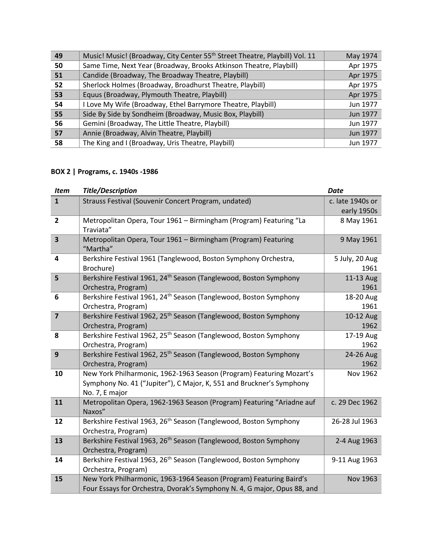| 49 | Music! Music! (Broadway, City Center 55 <sup>th</sup> Street Theatre, Playbill) Vol. 11 | May 1974 |
|----|-----------------------------------------------------------------------------------------|----------|
| 50 | Same Time, Next Year (Broadway, Brooks Atkinson Theatre, Playbill)                      | Apr 1975 |
| 51 | Candide (Broadway, The Broadway Theatre, Playbill)                                      | Apr 1975 |
| 52 | Sherlock Holmes (Broadway, Broadhurst Theatre, Playbill)                                | Apr 1975 |
| 53 | Equus (Broadway, Plymouth Theatre, Playbill)                                            | Apr 1975 |
| 54 | I Love My Wife (Broadway, Ethel Barrymore Theatre, Playbill)                            | Jun 1977 |
| 55 | Side By Side by Sondheim (Broadway, Music Box, Playbill)                                | Jun 1977 |
| 56 | Gemini (Broadway, The Little Theatre, Playbill)                                         | Jun 1977 |
| 57 | Annie (Broadway, Alvin Theatre, Playbill)                                               | Jun 1977 |
| 58 | The King and I (Broadway, Uris Theatre, Playbill)                                       | Jun 1977 |

## **BOX 2 | Programs, c. 1940s -1986**

| <b>Item</b>             | <b>Title/Description</b>                                                      | <b>Date</b>      |
|-------------------------|-------------------------------------------------------------------------------|------------------|
| $\mathbf{1}$            | Strauss Festival (Souvenir Concert Program, undated)                          | c. late 1940s or |
|                         |                                                                               | early 1950s      |
| $\overline{2}$          | Metropolitan Opera, Tour 1961 - Birmingham (Program) Featuring "La            | 8 May 1961       |
|                         | Traviata"                                                                     |                  |
| $\overline{\mathbf{3}}$ | Metropolitan Opera, Tour 1961 - Birmingham (Program) Featuring                | 9 May 1961       |
|                         | "Martha"                                                                      |                  |
| 4                       | Berkshire Festival 1961 (Tanglewood, Boston Symphony Orchestra,               | 5 July, 20 Aug   |
|                         | Brochure)                                                                     | 1961             |
| 5                       | Berkshire Festival 1961, 24 <sup>th</sup> Season (Tanglewood, Boston Symphony | 11-13 Aug        |
|                         | Orchestra, Program)                                                           | 1961             |
| 6                       | Berkshire Festival 1961, 24 <sup>th</sup> Season (Tanglewood, Boston Symphony | 18-20 Aug        |
|                         | Orchestra, Program)                                                           | 1961             |
| $\overline{7}$          | Berkshire Festival 1962, 25 <sup>th</sup> Season (Tanglewood, Boston Symphony | 10-12 Aug        |
|                         | Orchestra, Program)                                                           | 1962             |
| 8                       | Berkshire Festival 1962, 25 <sup>th</sup> Season (Tanglewood, Boston Symphony | 17-19 Aug        |
|                         | Orchestra, Program)                                                           | 1962             |
| $\mathbf{9}$            | Berkshire Festival 1962, 25 <sup>th</sup> Season (Tanglewood, Boston Symphony | 24-26 Aug        |
|                         | Orchestra, Program)                                                           | 1962             |
| 10                      | New York Philharmonic, 1962-1963 Season (Program) Featuring Mozart's          | Nov 1962         |
|                         | Symphony No. 41 ("Jupiter"), C Major, K, 551 and Bruckner's Symphony          |                  |
|                         | No. 7, E major                                                                |                  |
| 11                      | Metropolitan Opera, 1962-1963 Season (Program) Featuring "Ariadne auf         | c. 29 Dec 1962   |
|                         | Naxos"                                                                        |                  |
| 12                      | Berkshire Festival 1963, 26 <sup>th</sup> Season (Tanglewood, Boston Symphony | 26-28 Jul 1963   |
|                         | Orchestra, Program)                                                           |                  |
| 13                      | Berkshire Festival 1963, 26 <sup>th</sup> Season (Tanglewood, Boston Symphony | 2-4 Aug 1963     |
|                         | Orchestra, Program)                                                           |                  |
| 14                      | Berkshire Festival 1963, 26 <sup>th</sup> Season (Tanglewood, Boston Symphony | 9-11 Aug 1963    |
|                         | Orchestra, Program)                                                           |                  |
| 15                      | New York Philharmonic, 1963-1964 Season (Program) Featuring Baird's           | Nov 1963         |
|                         | Four Essays for Orchestra, Dvorak's Symphony N. 4, G major, Opus 88, and      |                  |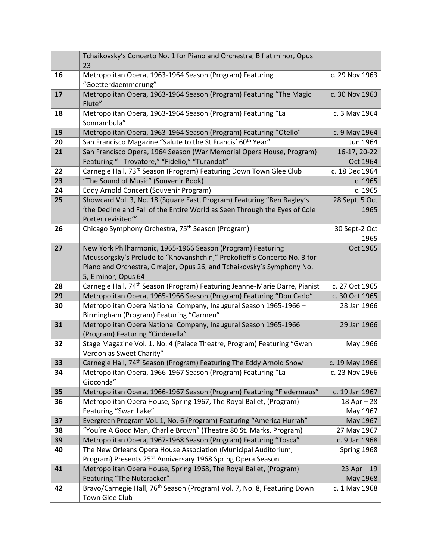|    | Tchaikovsky's Concerto No. 1 for Piano and Orchestra, B flat minor, Opus<br>23                                                                                                                                                          |                             |
|----|-----------------------------------------------------------------------------------------------------------------------------------------------------------------------------------------------------------------------------------------|-----------------------------|
| 16 | Metropolitan Opera, 1963-1964 Season (Program) Featuring                                                                                                                                                                                | c. 29 Nov 1963              |
| 17 | "Goetterdaemmerung"<br>Metropolitan Opera, 1963-1964 Season (Program) Featuring "The Magic<br>Flute"                                                                                                                                    | c. 30 Nov 1963              |
| 18 | Metropolitan Opera, 1963-1964 Season (Program) Featuring "La<br>Sonnambula"                                                                                                                                                             | c. 3 May 1964               |
| 19 | Metropolitan Opera, 1963-1964 Season (Program) Featuring "Otello"                                                                                                                                                                       | c. 9 May 1964               |
| 20 | San Francisco Magazine "Salute to the St Francis' 60 <sup>th</sup> Year"                                                                                                                                                                | Jun 1964                    |
| 21 | San Francisco Opera, 1964 Season (War Memorial Opera House, Program)<br>Featuring "Il Trovatore," "Fidelio," "Turandot"                                                                                                                 | 16-17, 20-22<br>Oct 1964    |
| 22 | Carnegie Hall, 73 <sup>rd</sup> Season (Program) Featuring Down Town Glee Club                                                                                                                                                          | c. 18 Dec 1964              |
| 23 | "The Sound of Music" (Souvenir Book)                                                                                                                                                                                                    | c. 1965                     |
| 24 | Eddy Arnold Concert (Souvenir Program)                                                                                                                                                                                                  | c. 1965                     |
| 25 | Showcard Vol. 3, No. 18 (Square East, Program) Featuring "Ben Bagley's<br>'the Decline and Fall of the Entire World as Seen Through the Eyes of Cole<br>Porter revisited"                                                               | 28 Sept, 5 Oct<br>1965      |
| 26 | Chicago Symphony Orchestra, 75 <sup>th</sup> Season (Program)                                                                                                                                                                           | 30 Sept-2 Oct<br>1965       |
| 27 | New York Philharmonic, 1965-1966 Season (Program) Featuring<br>Moussorgsky's Prelude to "Khovanshchin," Prokofieff's Concerto No. 3 for<br>Piano and Orchestra, C major, Opus 26, and Tchaikovsky's Symphony No.<br>5, E minor, Opus 64 | Oct 1965                    |
| 28 | Carnegie Hall, 74 <sup>th</sup> Season (Program) Featuring Jeanne-Marie Darre, Pianist                                                                                                                                                  | c. 27 Oct 1965              |
| 29 | Metropolitan Opera, 1965-1966 Season (Program) Featuring "Don Carlo"                                                                                                                                                                    | c. 30 Oct 1965              |
| 30 | Metropolitan Opera National Company, Inaugural Season 1965-1966 -<br>Birmingham (Program) Featuring "Carmen"                                                                                                                            | 28 Jan 1966                 |
| 31 | Metropolitan Opera National Company, Inaugural Season 1965-1966<br>(Program) Featuring "Cinderella"                                                                                                                                     | 29 Jan 1966                 |
| 32 | Stage Magazine Vol. 1, No. 4 (Palace Theatre, Program) Featuring "Gwen<br>Verdon as Sweet Charity"                                                                                                                                      | May 1966                    |
| 33 | Carnegie Hall, 74 <sup>th</sup> Season (Program) Featuring The Eddy Arnold Show                                                                                                                                                         | c. 19 May 1966              |
| 34 | Metropolitan Opera, 1966-1967 Season (Program) Featuring "La<br>Gioconda"                                                                                                                                                               | c. 23 Nov 1966              |
| 35 | Metropolitan Opera, 1966-1967 Season (Program) Featuring "Fledermaus"                                                                                                                                                                   | c. 19 Jan 1967              |
| 36 | Metropolitan Opera House, Spring 1967, The Royal Ballet, (Program)<br>Featuring "Swan Lake"                                                                                                                                             | $18$ Apr $- 28$<br>May 1967 |
| 37 | Evergreen Program Vol. 1, No. 6 (Program) Featuring "America Hurrah"                                                                                                                                                                    | May 1967                    |
| 38 | "You're A Good Man, Charlie Brown" (Theatre 80 St. Marks, Program)                                                                                                                                                                      | 27 May 1967                 |
| 39 | Metropolitan Opera, 1967-1968 Season (Program) Featuring "Tosca"                                                                                                                                                                        | c. 9 Jan 1968               |
| 40 | The New Orleans Opera House Association (Municipal Auditorium,<br>Program) Presents 25 <sup>th</sup> Anniversary 1968 Spring Opera Season                                                                                               | Spring 1968                 |
| 41 | Metropolitan Opera House, Spring 1968, The Royal Ballet, (Program)                                                                                                                                                                      | $23$ Apr $-19$              |
|    | Featuring "The Nutcracker"                                                                                                                                                                                                              | May 1968                    |
| 42 | Bravo/Carnegie Hall, 76 <sup>th</sup> Season (Program) Vol. 7, No. 8, Featuring Down<br>Town Glee Club                                                                                                                                  | c. 1 May 1968               |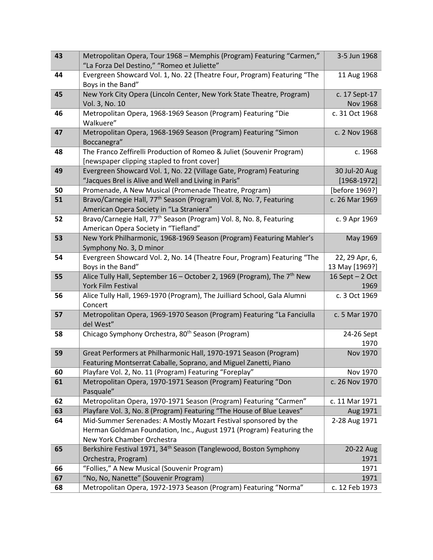| 43 | Metropolitan Opera, Tour 1968 - Memphis (Program) Featuring "Carmen,"<br>"La Forza Del Destino," "Romeo et Juliette"                                                  | 3-5 Jun 1968                     |
|----|-----------------------------------------------------------------------------------------------------------------------------------------------------------------------|----------------------------------|
| 44 | Evergreen Showcard Vol. 1, No. 22 (Theatre Four, Program) Featuring "The<br>Boys in the Band"                                                                         | 11 Aug 1968                      |
| 45 | New York City Opera (Lincoln Center, New York State Theatre, Program)<br>Vol. 3, No. 10                                                                               | c. 17 Sept-17<br><b>Nov 1968</b> |
| 46 | Metropolitan Opera, 1968-1969 Season (Program) Featuring "Die<br>Walkuere"                                                                                            | c. 31 Oct 1968                   |
| 47 | Metropolitan Opera, 1968-1969 Season (Program) Featuring "Simon<br>Boccanegra"                                                                                        | c. 2 Nov 1968                    |
| 48 | The Franco Zeffirelli Production of Romeo & Juliet (Souvenir Program)<br>[newspaper clipping stapled to front cover]                                                  | c. 1968                          |
| 49 | Evergreen Showcard Vol. 1, No. 22 (Village Gate, Program) Featuring<br>"Jacques Brel is Alive and Well and Living in Paris"                                           | 30 Jul-20 Aug<br>$[1968-1972]$   |
| 50 | Promenade, A New Musical (Promenade Theatre, Program)                                                                                                                 | [before 1969?]                   |
| 51 | Bravo/Carnegie Hall, 77 <sup>th</sup> Season (Program) Vol. 8, No. 7, Featuring<br>American Opera Society in "La Straniera"                                           | c. 26 Mar 1969                   |
| 52 | Bravo/Carnegie Hall, 77 <sup>th</sup> Season (Program) Vol. 8, No. 8, Featuring<br>American Opera Society in "Tiefland"                                               | c. 9 Apr 1969                    |
| 53 | New York Philharmonic, 1968-1969 Season (Program) Featuring Mahler's<br>Symphony No. 3, D minor                                                                       | May 1969                         |
| 54 | Evergreen Showcard Vol. 2, No. 14 (Theatre Four, Program) Featuring "The<br>Boys in the Band"                                                                         | 22, 29 Apr, 6,<br>13 May [1969?] |
| 55 | Alice Tully Hall, September 16 - October 2, 1969 (Program), The 7 <sup>th</sup> New<br>York Film Festival                                                             | 16 Sept $-2$ Oct<br>1969         |
| 56 | Alice Tully Hall, 1969-1970 (Program), The Juilliard School, Gala Alumni<br>Concert                                                                                   | c. 3 Oct 1969                    |
| 57 | Metropolitan Opera, 1969-1970 Season (Program) Featuring "La Fanciulla<br>del West"                                                                                   | c. 5 Mar 1970                    |
| 58 | Chicago Symphony Orchestra, 80 <sup>th</sup> Season (Program)                                                                                                         | 24-26 Sept<br>1970               |
| 59 | Great Performers at Philharmonic Hall, 1970-1971 Season (Program)<br>Featuring Montserrat Caballe, Soprano, and Miguel Zanetti, Piano                                 | Nov 1970                         |
| 60 | Playfare Vol. 2, No. 11 (Program) Featuring "Foreplay"                                                                                                                | Nov 1970                         |
| 61 | Metropolitan Opera, 1970-1971 Season (Program) Featuring "Don<br>Pasquale"                                                                                            | c. 26 Nov 1970                   |
| 62 | Metropolitan Opera, 1970-1971 Season (Program) Featuring "Carmen"                                                                                                     | c. 11 Mar 1971                   |
| 63 | Playfare Vol. 3, No. 8 (Program) Featuring "The House of Blue Leaves"                                                                                                 | Aug 1971                         |
| 64 | Mid-Summer Serenades: A Mostly Mozart Festival sponsored by the<br>Herman Goldman Foundation, Inc., August 1971 (Program) Featuring the<br>New York Chamber Orchestra | 2-28 Aug 1971                    |
| 65 | Berkshire Festival 1971, 34 <sup>th</sup> Season (Tanglewood, Boston Symphony<br>Orchestra, Program)                                                                  | 20-22 Aug<br>1971                |
| 66 | "Follies," A New Musical (Souvenir Program)                                                                                                                           | 1971                             |
| 67 | "No, No, Nanette" (Souvenir Program)                                                                                                                                  | 1971                             |
| 68 | Metropolitan Opera, 1972-1973 Season (Program) Featuring "Norma"                                                                                                      | c. 12 Feb 1973                   |